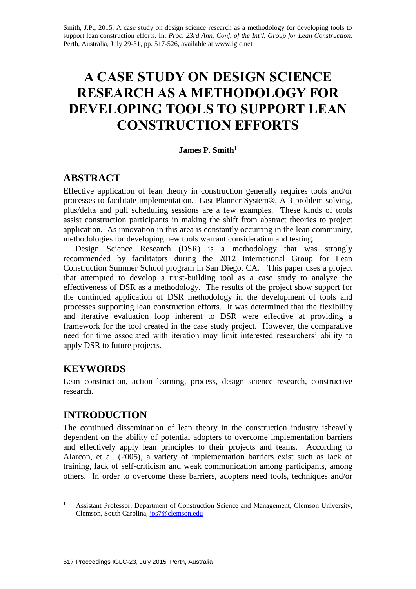Smith, J.P., 2015. A case study on design science research as a methodology for developing tools to support lean construction efforts. In: *Proc. 23rd Ann. Conf. of the Int'l. Group for Lean Construction*. Perth, Australia, July 29-31, pp. 517-526, available at www.iglc.net

# **A CASE STUDY ON DESIGN SCIENCE RESEARCH AS A METHODOLOGY FOR DEVELOPING TOOLS TO SUPPORT LEAN CONSTRUCTION EFFORTS**

## **James P. Smith<sup>1</sup>**

# **ABSTRACT**

Effective application of lean theory in construction generally requires tools and/or processes to facilitate implementation. Last Planner System®, A 3 problem solving, plus/delta and pull scheduling sessions are a few examples. These kinds of tools assist construction participants in making the shift from abstract theories to project application. As innovation in this area is constantly occurring in the lean community, methodologies for developing new tools warrant consideration and testing.

Design Science Research (DSR) is a methodology that was strongly recommended by facilitators during the 2012 International Group for Lean Construction Summer School program in San Diego, CA. This paper uses a project that attempted to develop a trust-building tool as a case study to analyze the effectiveness of DSR as a methodology. The results of the project show support for the continued application of DSR methodology in the development of tools and processes supporting lean construction efforts. It was determined that the flexibility and iterative evaluation loop inherent to DSR were effective at providing a framework for the tool created in the case study project. However, the comparative need for time associated with iteration may limit interested researchers' ability to apply DSR to future projects.

# **KEYWORDS**

Lean construction, action learning, process, design science research, constructive research.

# **INTRODUCTION**

The continued dissemination of lean theory in the construction industry isheavily dependent on the ability of potential adopters to overcome implementation barriers and effectively apply lean principles to their projects and teams. According to Alarcon, et al. (2005), a variety of implementation barriers exist such as lack of training, lack of self-criticism and weak communication among participants, among others. In order to overcome these barriers, adopters need tools, techniques and/or

 $\mathbf{1}$ <sup>1</sup> Assistant Professor, Department of Construction Science and Management, Clemson University, Clemson, South Carolina, [jps7@clemson.edu](file:///H:/jps7@clemson.edu)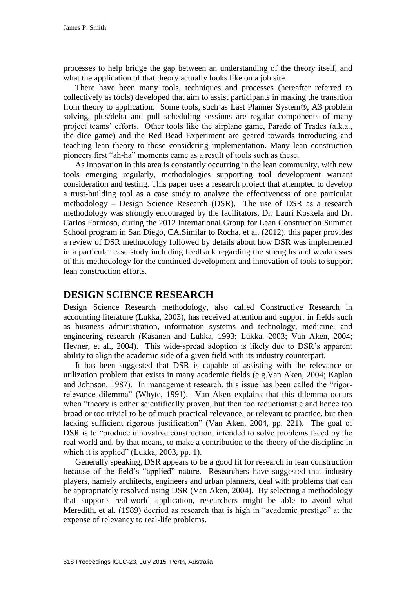processes to help bridge the gap between an understanding of the theory itself, and what the application of that theory actually looks like on a job site.

There have been many tools, techniques and processes (hereafter referred to collectively as tools) developed that aim to assist participants in making the transition from theory to application. Some tools, such as Last Planner System®, A3 problem solving, plus/delta and pull scheduling sessions are regular components of many project teams' efforts. Other tools like the airplane game, Parade of Trades (a.k.a., the dice game) and the Red Bead Experiment are geared towards introducing and teaching lean theory to those considering implementation. Many lean construction pioneers first "ah-ha" moments came as a result of tools such as these.

As innovation in this area is constantly occurring in the lean community, with new tools emerging regularly, methodologies supporting tool development warrant consideration and testing. This paper uses a research project that attempted to develop a trust-building tool as a case study to analyze the effectiveness of one particular methodology – Design Science Research (DSR). The use of DSR as a research methodology was strongly encouraged by the facilitators, Dr. Lauri Koskela and Dr. Carlos Formoso, during the 2012 International Group for Lean Construction Summer School program in San Diego, CA.Similar to Rocha, et al. (2012), this paper provides a review of DSR methodology followed by details about how DSR was implemented in a particular case study including feedback regarding the strengths and weaknesses of this methodology for the continued development and innovation of tools to support lean construction efforts.

# **DESIGN SCIENCE RESEARCH**

Design Science Research methodology, also called Constructive Research in accounting literature (Lukka, 2003), has received attention and support in fields such as business administration, information systems and technology, medicine, and engineering research (Kasanen and Lukka, 1993; Lukka, 2003; Van Aken, 2004; Hevner, et al., 2004). This wide-spread adoption is likely due to DSR's apparent ability to align the academic side of a given field with its industry counterpart.

It has been suggested that DSR is capable of assisting with the relevance or utilization problem that exists in many academic fields (e.g.Van Aken, 2004; Kaplan and Johnson, 1987). In management research, this issue has been called the "rigorrelevance dilemma" (Whyte, 1991). Van Aken explains that this dilemma occurs when "theory is either scientifically proven, but then too reductionistic and hence too broad or too trivial to be of much practical relevance, or relevant to practice, but then lacking sufficient rigorous justification" (Van Aken, 2004, pp. 221). The goal of DSR is to "produce innovative construction, intended to solve problems faced by the real world and, by that means, to make a contribution to the theory of the discipline in which it is applied" (Lukka, 2003, pp. 1).

Generally speaking, DSR appears to be a good fit for research in lean construction because of the field's "applied" nature. Researchers have suggested that industry players, namely architects, engineers and urban planners, deal with problems that can be appropriately resolved using DSR (Van Aken, 2004). By selecting a methodology that supports real-world application, researchers might be able to avoid what Meredith, et al. (1989) decried as research that is high in "academic prestige" at the expense of relevancy to real-life problems.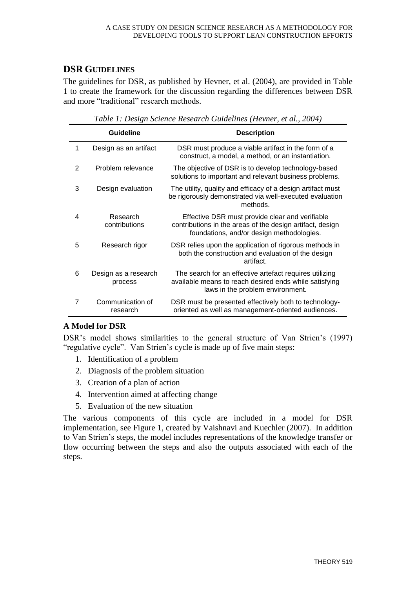# **DSR GUIDELINES**

The guidelines for DSR, as published by Hevner, et al. (2004), are provided in Table 1 to create the framework for the discussion regarding the differences between DSR and more "traditional" research methods.

|   | <b>Guideline</b>                | <b>Description</b>                                                                                                                                        |
|---|---------------------------------|-----------------------------------------------------------------------------------------------------------------------------------------------------------|
| 1 | Design as an artifact           | DSR must produce a viable artifact in the form of a<br>construct, a model, a method, or an instantiation.                                                 |
| 2 | Problem relevance               | The objective of DSR is to develop technology-based<br>solutions to important and relevant business problems.                                             |
| 3 | Design evaluation               | The utility, quality and efficacy of a design artifact must<br>be rigorously demonstrated via well-executed evaluation<br>methods.                        |
| 4 | Research<br>contributions       | Effective DSR must provide clear and verifiable<br>contributions in the areas of the design artifact, design<br>foundations, and/or design methodologies. |
| 5 | Research rigor                  | DSR relies upon the application of rigorous methods in<br>both the construction and evaluation of the design<br>artifact.                                 |
| 6 | Design as a research<br>process | The search for an effective artefact requires utilizing<br>available means to reach desired ends while satisfying<br>laws in the problem environment.     |
| 7 | Communication of<br>research    | DSR must be presented effectively both to technology-<br>oriented as well as management-oriented audiences.                                               |

*Table 1: Design Science Research Guidelines (Hevner, et al., 2004)*

# **A Model for DSR**

DSR's model shows similarities to the general structure of Van Strien's (1997) "regulative cycle". Van Strien's cycle is made up of five main steps:

- 1. Identification of a problem
- 2. Diagnosis of the problem situation
- 3. Creation of a plan of action
- 4. Intervention aimed at affecting change
- 5. Evaluation of the new situation

The various components of this cycle are included in a model for DSR implementation, see Figure 1, created by Vaishnavi and Kuechler (2007). In addition to Van Strien's steps, the model includes representations of the knowledge transfer or flow occurring between the steps and also the outputs associated with each of the steps.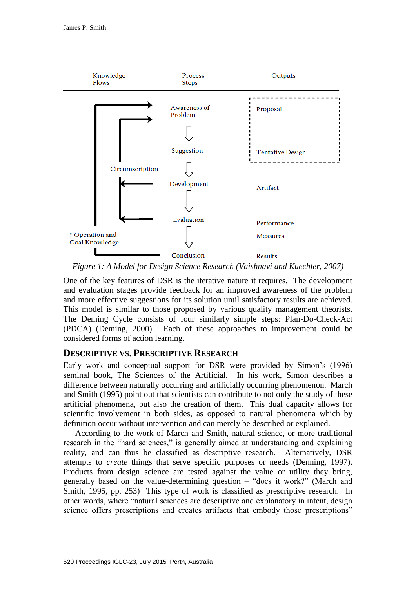

*Figure 1: A Model for Design Science Research (Vaishnavi and Kuechler, 2007)* 

One of the key features of DSR is the iterative nature it requires. The development and evaluation stages provide feedback for an improved awareness of the problem and more effective suggestions for its solution until satisfactory results are achieved. This model is similar to those proposed by various quality management theorists. The Deming Cycle consists of four similarly simple steps: Plan-Do-Check-Act (PDCA) (Deming, 2000). Each of these approaches to improvement could be considered forms of action learning.

## **DESCRIPTIVE VS. PRESCRIPTIVE RESEARCH**

Early work and conceptual support for DSR were provided by Simon's (1996) seminal book, The Sciences of the Artificial. In his work, Simon describes a difference between naturally occurring and artificially occurring phenomenon. March and Smith (1995) point out that scientists can contribute to not only the study of these artificial phenomena, but also the creation of them. This dual capacity allows for scientific involvement in both sides, as opposed to natural phenomena which by definition occur without intervention and can merely be described or explained.

According to the work of March and Smith, natural science, or more traditional research in the "hard sciences," is generally aimed at understanding and explaining reality, and can thus be classified as descriptive research. Alternatively, DSR attempts to *create* things that serve specific purposes or needs (Denning, 1997). Products from design science are tested against the value or utility they bring, generally based on the value-determining question – "does it work?" (March and Smith, 1995, pp. 253) This type of work is classified as prescriptive research. In other words, where "natural sciences are descriptive and explanatory in intent, design science offers prescriptions and creates artifacts that embody those prescriptions"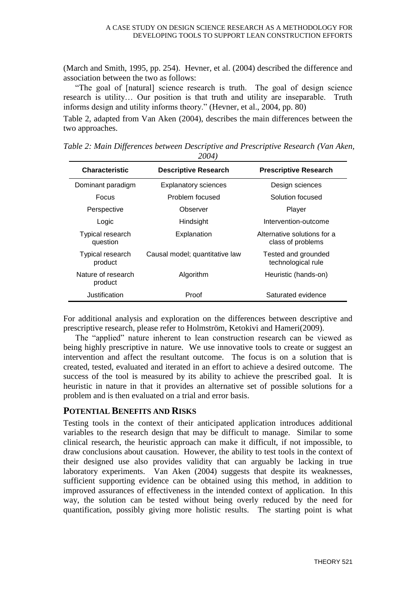(March and Smith, 1995, pp. 254). Hevner, et al. (2004) described the difference and association between the two as follows:

"The goal of [natural] science research is truth. The goal of design science research is utility… Our position is that truth and utility are inseparable. Truth informs design and utility informs theory." (Hevner, et al., 2004, pp. 80)

Table 2, adapted from Van Aken (2004), describes the main differences between the two approaches.

| $200 + 7$                     |                                |                                                  |  |  |  |  |
|-------------------------------|--------------------------------|--------------------------------------------------|--|--|--|--|
| <b>Characteristic</b>         | <b>Descriptive Research</b>    | <b>Prescriptive Research</b>                     |  |  |  |  |
| Dominant paradigm             | <b>Explanatory sciences</b>    | Design sciences                                  |  |  |  |  |
| Focus                         | Problem focused                | Solution focused                                 |  |  |  |  |
| Perspective                   | Observer                       | Player                                           |  |  |  |  |
| Logic                         | Hindsight                      | Intervention-outcome                             |  |  |  |  |
| Typical research<br>question  | Explanation                    | Alternative solutions for a<br>class of problems |  |  |  |  |
| Typical research<br>product   | Causal model; quantitative law | Tested and grounded<br>technological rule        |  |  |  |  |
| Nature of research<br>product | Algorithm                      | Heuristic (hands-on)                             |  |  |  |  |
| Justification                 | Proof                          | Saturated evidence                               |  |  |  |  |

*Table 2: Main Differences between Descriptive and Prescriptive Research (Van Aken, 2004)*

For additional analysis and exploration on the differences between descriptive and prescriptive research, please refer to Holmström, Ketokivi and Hameri(2009).

The "applied" nature inherent to lean construction research can be viewed as being highly prescriptive in nature. We use innovative tools to create or suggest an intervention and affect the resultant outcome. The focus is on a solution that is created, tested, evaluated and iterated in an effort to achieve a desired outcome. The success of the tool is measured by its ability to achieve the prescribed goal. It is heuristic in nature in that it provides an alternative set of possible solutions for a problem and is then evaluated on a trial and error basis.

## **POTENTIAL BENEFITS AND RISKS**

Testing tools in the context of their anticipated application introduces additional variables to the research design that may be difficult to manage. Similar to some clinical research, the heuristic approach can make it difficult, if not impossible, to draw conclusions about causation. However, the ability to test tools in the context of their designed use also provides validity that can arguably be lacking in true laboratory experiments. Van Aken (2004) suggests that despite its weaknesses, sufficient supporting evidence can be obtained using this method, in addition to improved assurances of effectiveness in the intended context of application. In this way, the solution can be tested without being overly reduced by the need for quantification, possibly giving more holistic results. The starting point is what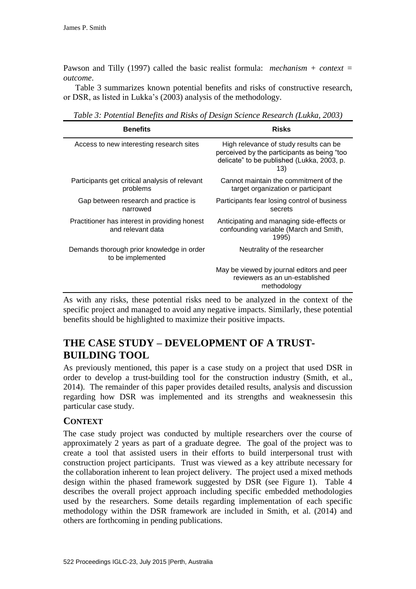Pawson and Tilly (1997) called the basic realist formula: *mechanism + context = outcome*.

Table 3 summarizes known potential benefits and risks of constructive research, or DSR, as listed in Lukka's (2003) analysis of the methodology.

*Table 3: Potential Benefits and Risks of Design Science Research (Lukka, 2003)*

| <b>Benefits</b>                                                    | <b>Risks</b>                                                                                                                               |  |
|--------------------------------------------------------------------|--------------------------------------------------------------------------------------------------------------------------------------------|--|
| Access to new interesting research sites                           | High relevance of study results can be<br>perceived by the participants as being "too<br>delicate" to be published (Lukka, 2003, p.<br>13) |  |
| Participants get critical analysis of relevant<br>problems         | Cannot maintain the commitment of the<br>target organization or participant                                                                |  |
| Gap between research and practice is<br>narrowed                   | Participants fear losing control of business<br>secrets                                                                                    |  |
| Practitioner has interest in providing honest<br>and relevant data | Anticipating and managing side-effects or<br>confounding variable (March and Smith,<br>1995)                                               |  |
| Demands thorough prior knowledge in order<br>to be implemented     | Neutrality of the researcher                                                                                                               |  |
|                                                                    | May be viewed by journal editors and peer<br>reviewers as an un-established<br>methodology                                                 |  |

As with any risks, these potential risks need to be analyzed in the context of the specific project and managed to avoid any negative impacts. Similarly, these potential benefits should be highlighted to maximize their positive impacts.

# **THE CASE STUDY – DEVELOPMENT OF A TRUST-BUILDING TOOL**

As previously mentioned, this paper is a case study on a project that used DSR in order to develop a trust-building tool for the construction industry (Smith, et al., 2014). The remainder of this paper provides detailed results, analysis and discussion regarding how DSR was implemented and its strengths and weaknessesin this particular case study.

## **CONTEXT**

The case study project was conducted by multiple researchers over the course of approximately 2 years as part of a graduate degree. The goal of the project was to create a tool that assisted users in their efforts to build interpersonal trust with construction project participants. Trust was viewed as a key attribute necessary for the collaboration inherent to lean project delivery. The project used a mixed methods design within the phased framework suggested by DSR (see Figure 1). Table 4 describes the overall project approach including specific embedded methodologies used by the researchers. Some details regarding implementation of each specific methodology within the DSR framework are included in Smith, et al. (2014) and others are forthcoming in pending publications.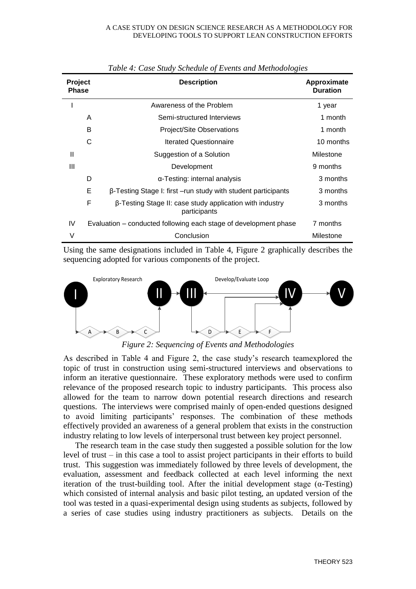| Project<br>Phase |                                                                  | <b>Description</b>                                                       | Approximate<br><b>Duration</b> |
|------------------|------------------------------------------------------------------|--------------------------------------------------------------------------|--------------------------------|
| I                |                                                                  | Awareness of the Problem                                                 | 1 year                         |
|                  | A                                                                | Semi-structured Interviews                                               | 1 month                        |
|                  | B                                                                | Project/Site Observations                                                | 1 month                        |
|                  | С                                                                | <b>Iterated Questionnaire</b>                                            | 10 months                      |
| $\mathbf{I}$     |                                                                  | Suggestion of a Solution                                                 | Milestone                      |
| Ш                |                                                                  | Development                                                              | 9 months                       |
|                  | D                                                                | $\alpha$ -Testing: internal analysis                                     | 3 months                       |
|                  | Е                                                                | $\beta$ -Testing Stage I: first $-$ run study with student participants  | 3 months                       |
|                  | F                                                                | β-Testing Stage II: case study application with industry<br>participants | 3 months                       |
| IV               | Evaluation – conducted following each stage of development phase |                                                                          | 7 months                       |
| V                |                                                                  | Conclusion                                                               | Milestone                      |

*Table 4: Case Study Schedule of Events and Methodologies*

Using the same designations included in Table 4, Figure 2 graphically describes the sequencing adopted for various components of the project.



*Figure 2: Sequencing of Events and Methodologies*

As described in Table 4 and Figure 2, the case study's research teamexplored the topic of trust in construction using semi-structured interviews and observations to inform an iterative questionnaire. These exploratory methods were used to confirm relevance of the proposed research topic to industry participants. This process also allowed for the team to narrow down potential research directions and research questions. The interviews were comprised mainly of open-ended questions designed to avoid limiting participants' responses. The combination of these methods effectively provided an awareness of a general problem that exists in the construction industry relating to low levels of interpersonal trust between key project personnel.

The research team in the case study then suggested a possible solution for the low level of trust – in this case a tool to assist project participants in their efforts to build trust. This suggestion was immediately followed by three levels of development, the evaluation, assessment and feedback collected at each level informing the next iteration of the trust-building tool. After the initial development stage  $(\alpha$ -Testing) which consisted of internal analysis and basic pilot testing, an updated version of the tool was tested in a quasi-experimental design using students as subjects, followed by a series of case studies using industry practitioners as subjects. Details on the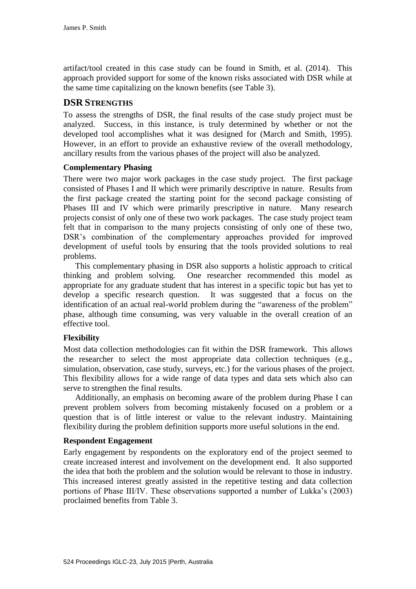artifact/tool created in this case study can be found in Smith, et al. (2014). This approach provided support for some of the known risks associated with DSR while at the same time capitalizing on the known benefits (see Table 3).

## **DSR STRENGTHS**

To assess the strengths of DSR, the final results of the case study project must be analyzed. Success, in this instance, is truly determined by whether or not the developed tool accomplishes what it was designed for (March and Smith, 1995). However, in an effort to provide an exhaustive review of the overall methodology, ancillary results from the various phases of the project will also be analyzed.

## **Complementary Phasing**

There were two major work packages in the case study project. The first package consisted of Phases I and II which were primarily descriptive in nature. Results from the first package created the starting point for the second package consisting of Phases III and IV which were primarily prescriptive in nature. Many research projects consist of only one of these two work packages. The case study project team felt that in comparison to the many projects consisting of only one of these two, DSR's combination of the complementary approaches provided for improved development of useful tools by ensuring that the tools provided solutions to real problems.

This complementary phasing in DSR also supports a holistic approach to critical thinking and problem solving. One researcher recommended this model as appropriate for any graduate student that has interest in a specific topic but has yet to develop a specific research question. It was suggested that a focus on the identification of an actual real-world problem during the "awareness of the problem" phase, although time consuming, was very valuable in the overall creation of an effective tool.

## **Flexibility**

Most data collection methodologies can fit within the DSR framework. This allows the researcher to select the most appropriate data collection techniques (e.g., simulation, observation, case study, surveys, etc.) for the various phases of the project. This flexibility allows for a wide range of data types and data sets which also can serve to strengthen the final results.

Additionally, an emphasis on becoming aware of the problem during Phase I can prevent problem solvers from becoming mistakenly focused on a problem or a question that is of little interest or value to the relevant industry. Maintaining flexibility during the problem definition supports more useful solutions in the end.

#### **Respondent Engagement**

Early engagement by respondents on the exploratory end of the project seemed to create increased interest and involvement on the development end. It also supported the idea that both the problem and the solution would be relevant to those in industry. This increased interest greatly assisted in the repetitive testing and data collection portions of Phase III/IV. These observations supported a number of Lukka's (2003) proclaimed benefits from Table 3.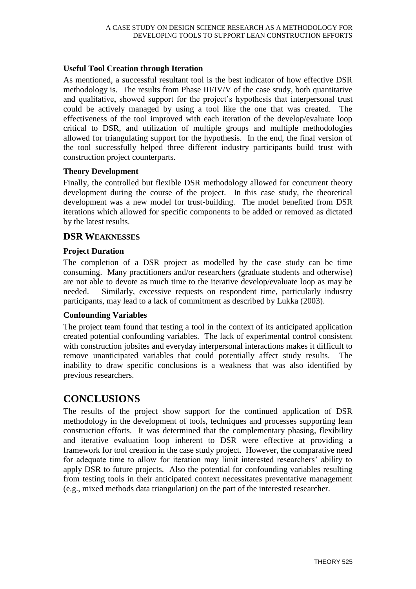## **Useful Tool Creation through Iteration**

As mentioned, a successful resultant tool is the best indicator of how effective DSR methodology is. The results from Phase III/IV/V of the case study, both quantitative and qualitative, showed support for the project's hypothesis that interpersonal trust could be actively managed by using a tool like the one that was created. The effectiveness of the tool improved with each iteration of the develop/evaluate loop critical to DSR, and utilization of multiple groups and multiple methodologies allowed for triangulating support for the hypothesis. In the end, the final version of the tool successfully helped three different industry participants build trust with construction project counterparts.

#### **Theory Development**

Finally, the controlled but flexible DSR methodology allowed for concurrent theory development during the course of the project. In this case study, the theoretical development was a new model for trust-building. The model benefited from DSR iterations which allowed for specific components to be added or removed as dictated by the latest results.

## **DSR WEAKNESSES**

## **Project Duration**

The completion of a DSR project as modelled by the case study can be time consuming. Many practitioners and/or researchers (graduate students and otherwise) are not able to devote as much time to the iterative develop/evaluate loop as may be needed. Similarly, excessive requests on respondent time, particularly industry participants, may lead to a lack of commitment as described by Lukka (2003).

## **Confounding Variables**

The project team found that testing a tool in the context of its anticipated application created potential confounding variables. The lack of experimental control consistent with construction jobsites and everyday interpersonal interactions makes it difficult to remove unanticipated variables that could potentially affect study results. inability to draw specific conclusions is a weakness that was also identified by previous researchers.

# **CONCLUSIONS**

The results of the project show support for the continued application of DSR methodology in the development of tools, techniques and processes supporting lean construction efforts. It was determined that the complementary phasing, flexibility and iterative evaluation loop inherent to DSR were effective at providing a framework for tool creation in the case study project. However, the comparative need for adequate time to allow for iteration may limit interested researchers' ability to apply DSR to future projects. Also the potential for confounding variables resulting from testing tools in their anticipated context necessitates preventative management (e.g., mixed methods data triangulation) on the part of the interested researcher.